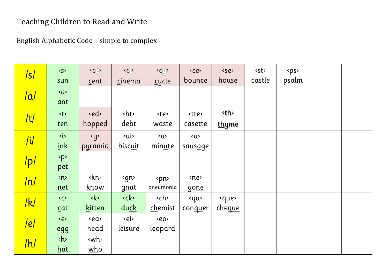## Teaching Children to Read and Write

English Alphabetic Code - simple to complex

| /s/            | $\langle S \rangle$<br>sum | C()<br>cent                   | $\langle C \rangle$<br>cinema | $\langle C^{(1)}_{\mu\nu} \rangle$<br>$c$ ycle | <ce><br/><u>bounce</u></ce> | <se><br/>house</se>    | <st><br/>castle</st> | <ps><br/><u>ps</u>alm</ps> |  |
|----------------|----------------------------|-------------------------------|-------------------------------|------------------------------------------------|-----------------------------|------------------------|----------------------|----------------------------|--|
| a              | $\langle a \rangle$<br>ant |                               |                               |                                                |                             |                        |                      |                            |  |
| /t/            | <t><br/>ten</t>            | ed><br>hopped                 | <bt><br/>debt</bt>            | <te><br/>waste</te>                            | <tte><br/>casette</tte>     | kth∢<br><u>thy</u> me  |                      |                            |  |
| $\overline{I}$ | $\langle i \rangle$<br>ink | <u><br/>pyramid</u>           | <b>ui</b><br>biscuit          | <u><br/>minute</u>                             | Q<br>sausage                |                        |                      |                            |  |
| /p/            | <p><br/>pet</p>            |                               |                               |                                                |                             |                        |                      |                            |  |
| /n/            | n<br>net                   | kn><br><u>know</u>            | sgn><br>gnat                  | <pn><br/>pneumonia</pn>                        | <ne><br/>gone</ne>          |                        |                      |                            |  |
| k              | $\langle C \rangle$<br>cat | $\langle k \rangle$<br>kitten | <ck><br/>duck</ck>            | <ch><br/>chemist</ch>                          | <qu><br/>conquer</qu>       | <que><br/>cheque</que> |                      |                            |  |
| e              | <e><br/>egg</e>            | <ea><br/>head</ea>            | <b>kei</b><br>leisure         | <eo><br/>l<u>eo</u>pard</eo>                   |                             |                        |                      |                            |  |
| /h/            | <h><br/>hat</h>            | <wh><br/>who</wh>             |                               |                                                |                             |                        |                      |                            |  |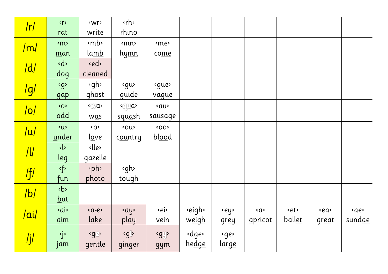| r               | $\langle \gamma \rangle$           | <wr></wr>             | <rh></rh>                                                                                                |               |              |              |         |                |           |           |
|-----------------|------------------------------------|-----------------------|----------------------------------------------------------------------------------------------------------|---------------|--------------|--------------|---------|----------------|-----------|-----------|
|                 | rat                                | write                 | rhino                                                                                                    |               |              |              |         |                |           |           |
| /m/             | <m></m>                            | <mb></mb>             | <mn></mn>                                                                                                | <me></me>     |              |              |         |                |           |           |
|                 | man                                | <u>lamb</u>           | <u>hymn</u>                                                                                              | come          |              |              |         |                |           |           |
| d               | $\langle d \rangle$                | ed>                   |                                                                                                          |               |              |              |         |                |           |           |
|                 | $\frac{d}{dg}$                     | cleaned               |                                                                                                          |               |              |              |         |                |           |           |
|                 | $\langle g \rangle$                | sgh>                  | «gu>                                                                                                     | «gue»         |              |              |         |                |           |           |
| <mark>g/</mark> | gap                                | ghost                 | <u>gu</u> ide                                                                                            | vague         |              |              |         |                |           |           |
|                 | <o></o>                            | <wa></wa>             | $\sqrt{q}$ a                                                                                             | «au           |              |              |         |                |           |           |
| o               | $\Omega$ dd                        | $W\underline{a}s$     | squash                                                                                                   | sausage       |              |              |         |                |           |           |
|                 | $\overline{\mathsf{U}}$            | $\langle$ O $\rangle$ | <ou></ou>                                                                                                | 500           |              |              |         |                |           |           |
| u               | under                              | <u>lo</u> ve          | country                                                                                                  | blood         |              |              |         |                |           |           |
|                 | $\left\langle \cdot \right\rangle$ | <lle></lle>           |                                                                                                          |               |              |              |         |                |           |           |
| $\sqrt{11}$     | <u>l</u> eg                        | gazelle               |                                                                                                          |               |              |              |         |                |           |           |
|                 | <f></f>                            | <ph></ph>             | <gh></gh>                                                                                                |               |              |              |         |                |           |           |
| f               | fun                                | photo                 | tough                                                                                                    |               |              |              |         |                |           |           |
| b               | $\langle b \rangle$                |                       |                                                                                                          |               |              |              |         |                |           |           |
|                 | $bat$                              |                       |                                                                                                          |               |              |              |         |                |           |           |
| /ai/            | <ai></ai>                          | $$                    | «ay»                                                                                                     | <ei></ei>     | eigh>        | ey>          | Q       | <et></et>      | <ea></ea> | <ae></ae> |
|                 | $\underline{\text{a}}$ im          | l <u>ake</u>          | play                                                                                                     | v <u>ei</u> n | weigh        | <u>grey</u>  | apricot | ball <u>et</u> | great     | sundae    |
|                 | <j></j>                            | <g@></g@>             | <gl< th=""><th><gy></gy></th><th><dge></dge></th><th>sger</th><th></th><th></th><th></th><th></th></gl<> | <gy></gy>     | <dge></dge>  | sger         |         |                |           |           |
| /j/             | jam                                | gentle                | ginger                                                                                                   | gym           | <u>hedge</u> | <u>large</u> |         |                |           |           |
|                 |                                    |                       |                                                                                                          |               |              |              |         |                |           |           |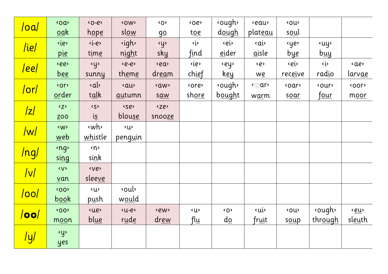| <mark>/oa/</mark> | <oa></oa>           | $\langle 0 - e \rangle$ | <ow></ow>           | <o></o>      | <oe></oe>           | <ough></ough>         | <i>seau</i> | <ou></ou>        |                                  |                |
|-------------------|---------------------|-------------------------|---------------------|--------------|---------------------|-----------------------|-------------|------------------|----------------------------------|----------------|
|                   | oak                 | <u>hope</u>             | slow                | <u>go</u>    | toe                 | dough                 | plateau     | soul             |                                  |                |
| /ie/              | <ie></ie>           | $\langle -e \rangle$    | <i>s</i> igh>       | <y></y>      | $\langle i \rangle$ | <b>ei</b>             | <ai></ai>   | <ye></ye>        | <b>suy</b>                       |                |
|                   | pie                 | time                    | night               | sky          | find                | eider                 | aisle       | <u>bye</u>       | $b_{\underline{u}\underline{u}}$ |                |
|                   | <ee></ee>           | <u></u>                 | $e-e$               | <ea></ea>    | <ie></ie>           | ey>                   | <e></e>     | kei>             | $\langle i \rangle$              | <ae></ae>      |
| <u> ee </u>       | <u>bee</u>          | sunny                   | th <u>eme</u>       | <u>dream</u> | chief               | <u>key</u>            | we          | rec <u>ei</u> ve | radio                            | larv <u>ae</u> |
|                   | <or></or>           | $\langle$ a $ $         | «au                 | <aw></aw>    | <ore></ore>         | <ough></ough>         | <war></war> | <oar></oar>      | <our></our>                      | <oor></oor>    |
| /or/              | order               | talk                    | autumn              | saw          | shore               | bought                | warm        | soar             | <u>four</u>                      | moor           |
|                   | $\langle Z \rangle$ | 55                      | <se></se>           | <ze></ze>    |                     |                       |             |                  |                                  |                |
| z                 | <b>ZOO</b>          | <i>is</i>               | blouse              | snooze       |                     |                       |             |                  |                                  |                |
|                   | <w></w>             | <wh></wh>               | $\langle U \rangle$ |              |                     |                       |             |                  |                                  |                |
| w                 | web                 | whistle                 | peng <u>u</u> in    |              |                     |                       |             |                  |                                  |                |
|                   | <ng></ng>           | n                       |                     |              |                     |                       |             |                  |                                  |                |
| /ng/              | sing                | sink                    |                     |              |                     |                       |             |                  |                                  |                |
| v                 | <v></v>             | <ve></ve>               |                     |              |                     |                       |             |                  |                                  |                |
|                   | van                 | sleeve                  |                     |              |                     |                       |             |                  |                                  |                |
| /oo/              | <b>&lt;00&gt;</b>   | <u></u>                 | soul                |              |                     |                       |             |                  |                                  |                |
|                   | <u>book</u>         | p <u>u</u> sh           | would               |              |                     |                       |             |                  |                                  |                |
| /oo               | <b>&lt;00&gt;</b>   | <ue></ue>               | $(u-e)$             | <ew></ew>    | <u></u>             | $\langle$ O $\rangle$ | <b>ui</b>   | <ou></ou>        | <ough></ough>                    | <u>eu</u>      |
|                   | moon                | blue                    | rude                | drew         | $\int \frac{du}{u}$ | <u>do</u>             | fruit       | soup             | through                          | sleuth         |
|                   | $\overline{y}$      |                         |                     |              |                     |                       |             |                  |                                  |                |
| <u>/y/</u>        | yes                 |                         |                     |              |                     |                       |             |                  |                                  |                |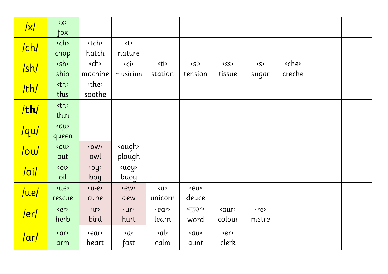| $\sqrt{x}$                                     | <x></x>                                                                                   |               |                              |                     |                        |              |                     |             |  |  |
|------------------------------------------------|-------------------------------------------------------------------------------------------|---------------|------------------------------|---------------------|------------------------|--------------|---------------------|-------------|--|--|
|                                                | $\overline{\text{f}}$ o $\underline{\text{x}}$                                            |               |                              |                     |                        |              |                     |             |  |  |
| /ch/                                           | <ch></ch>                                                                                 | <tch></tch>   | <t></t>                      |                     |                        |              |                     |             |  |  |
|                                                | chop                                                                                      | ha <u>tch</u> | nature                       |                     |                        |              |                     |             |  |  |
| /sh/                                           | sh>                                                                                       | <ch></ch>     | <ci></ci>                    | <ti></ti>           | $\overline{\text{ss}}$ | <ss></ss>    | $\langle S \rangle$ | <che></che> |  |  |
|                                                | ship                                                                                      | machine       | musician                     | station             | tension                | tissue       | sugar               | creche      |  |  |
|                                                | sth>                                                                                      | <the></the>   |                              |                     |                        |              |                     |             |  |  |
| /th/                                           | this                                                                                      | soothe        |                              |                     |                        |              |                     |             |  |  |
|                                                | <th></th> <th></th> <th></th> <th></th> <th></th> <th></th> <th></th> <th></th> <th></th> |               |                              |                     |                        |              |                     |             |  |  |
| /th/                                           | thin                                                                                      |               |                              |                     |                        |              |                     |             |  |  |
|                                                | «qu                                                                                       |               |                              |                     |                        |              |                     |             |  |  |
| /qu/                                           | queen                                                                                     |               |                              |                     |                        |              |                     |             |  |  |
|                                                | <ou></ou>                                                                                 | <ow></ow>     | <ough></ough>                |                     |                        |              |                     |             |  |  |
| $\overline{\frac{\text{I}}{\text{I}}\text{I}}$ | $out$                                                                                     | owl           | plough                       |                     |                        |              |                     |             |  |  |
|                                                | <oi></oi>                                                                                 | <oy></oy>     | <b>«uoy</b>                  |                     |                        |              |                     |             |  |  |
| /oi/                                           | $0$ il                                                                                    | $b$ oy        | buoy                         |                     |                        |              |                     |             |  |  |
|                                                | <b>sue</b>                                                                                | $(u-e)$       | <ew></ew>                    | $\langle u \rangle$ | <eu></eu>              |              |                     |             |  |  |
| /ue/                                           | rescue                                                                                    | cube          | <u>dew</u>                   | unicorn             | deuce                  |              |                     |             |  |  |
|                                                | <er></er>                                                                                 | <ir></ir>     | <ur></ur>                    | <ear></ear>         | <wor></wor>            | <our></our>  | <re></re>           |             |  |  |
| <u> er </u>                                    | herb                                                                                      | bird          | hurt                         | <u>lear</u> n       | word                   | colour       | metre               |             |  |  |
|                                                | <ar></ar>                                                                                 | <ear></ear>   | Q                            | a                   | «au                    | <er></er>    |                     |             |  |  |
| /ar/                                           | arm                                                                                       | <u>heart</u>  | $\int \underline{\alpha}$ st | c <u>al</u> m       | aunt                   | <u>clerk</u> |                     |             |  |  |
|                                                |                                                                                           |               |                              |                     |                        |              |                     |             |  |  |